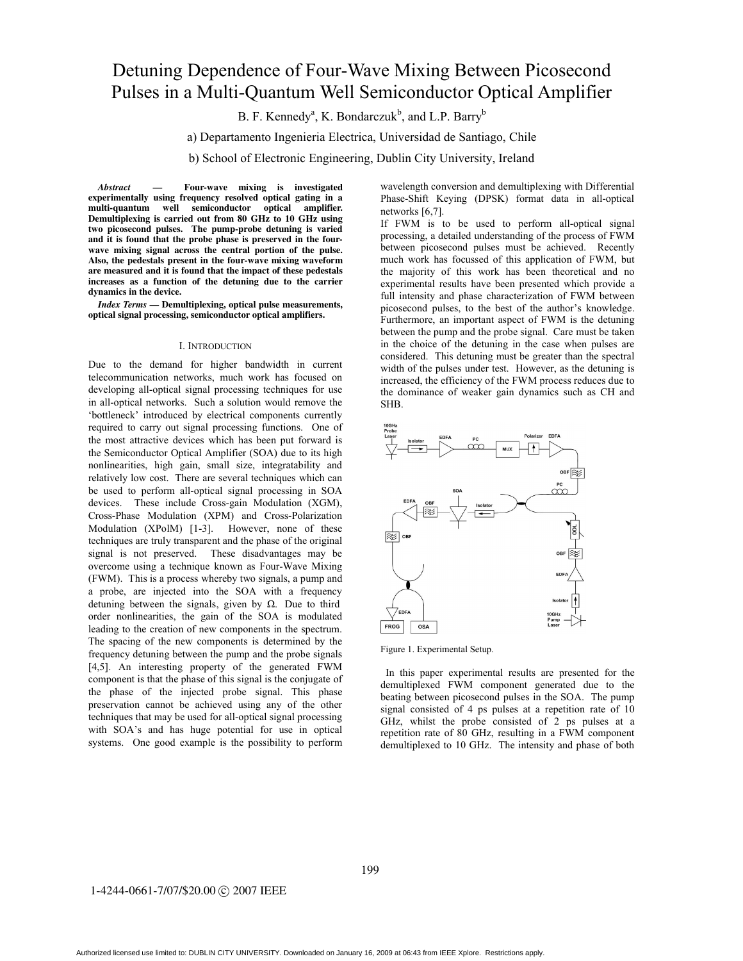# Detuning Dependence of Four-Wave Mixing Between Picosecond Pulses in a Multi-Quantum Well Semiconductor Optical Amplifier

B. F. Kennedy<sup>a</sup>, K. Bondarczuk<sup>b</sup>, and L.P. Barry<sup>b</sup>

a) Departamento Ingenieria Electrica, Universidad de Santiago, Chile

b) School of Electronic Engineering, Dublin City University, Ireland

*Abstract* **— Four-wave mixing is investigated experimentally using frequency resolved optical gating in a multi-quantum well semiconductor optical amplifier. Demultiplexing is carried out from 80 GHz to 10 GHz using two picosecond pulses. The pump-probe detuning is varied and it is found that the probe phase is preserved in the fourwave mixing signal across the central portion of the pulse. Also, the pedestals present in the four-wave mixing waveform are measured and it is found that the impact of these pedestals increases as a function of the detuning due to the carrier dynamics in the device.**

*Index Terms* **— Demultiplexing, optical pulse measurements, optical signal processing, semiconductor optical amplifiers.**

#### I. INTRODUCTION

Due to the demand for higher bandwidth in current telecommunication networks, much work has focused on developing all-optical signal processing techniques for use in all-optical networks. Such a solution would remove the 'bottleneck' introduced by electrical components currently required to carry out signal processing functions. One of the most attractive devices which has been put forward is the Semiconductor Optical Amplifier (SOA) due to its high nonlinearities, high gain, small size, integratability and relatively low cost. There are several techniques which can be used to perform all-optical signal processing in SOA devices. These include Cross-gain Modulation (XGM), Cross-Phase Modulation (XPM) and Cross-Polarization Modulation (XPolM) [1-3]. However, none of these techniques are truly transparent and the phase of the original signal is not preserved. These disadvantages may be overcome using a technique known as Four-Wave Mixing (FWM). This is a process whereby two signals, a pump and a probe, are injected into the SOA with a frequency detuning between the signals, given by  $\Omega$ . Due to third order nonlinearities, the gain of the SOA is modulated leading to the creation of new components in the spectrum. The spacing of the new components is determined by the frequency detuning between the pump and the probe signals  $[4,5]$ . An interesting property of the generated FWM component is that the phase of this signal is the conjugate of the phase of the injected probe signal. This phase preservation cannot be achieved using any of the other techniques that may be used for all-optical signal processing with SOA's and has huge potential for use in optical systems. One good example is the possibility to perform wavelength conversion and demultiplexing with Differential Phase-Shift Keying (DPSK) format data in all-optical networks  $[6,7]$ .

If FWM is to be used to perform all-optical signal processing, a detailed understanding of the process of FWM between picosecond pulses must be achieved. Recently much work has focussed of this application of FWM, but the majority of this work has been theoretical and no experimental results have been presented which provide a full intensity and phase characterization of FWM between picosecond pulses, to the best of the author's knowledge. Furthermore, an important aspect of FWM is the detuning between the pump and the probe signal. Care must be taken in the choice of the detuning in the case when pulses are considered. This detuning must be greater than the spectral width of the pulses under test. However, as the detuning is increased, the efficiency of the FWM process reduces due to the dominance of weaker gain dynamics such as CH and SHB.



Figure 1. Experimental Setup.

In this paper experimental results are presented for the demultiplexed FWM component generated due to the beating between picosecond pulses in the SOA. The pump signal consisted of 4 ps pulses at a repetition rate of 10 GHz, whilst the probe consisted of  $2$  ps pulses at a repetition rate of 80 GHz, resulting in a FWM component demultiplexed to 10 GHz. The intensity and phase of both

## 1-4244-0661-7/07/\$20.00 © 2007 IEEE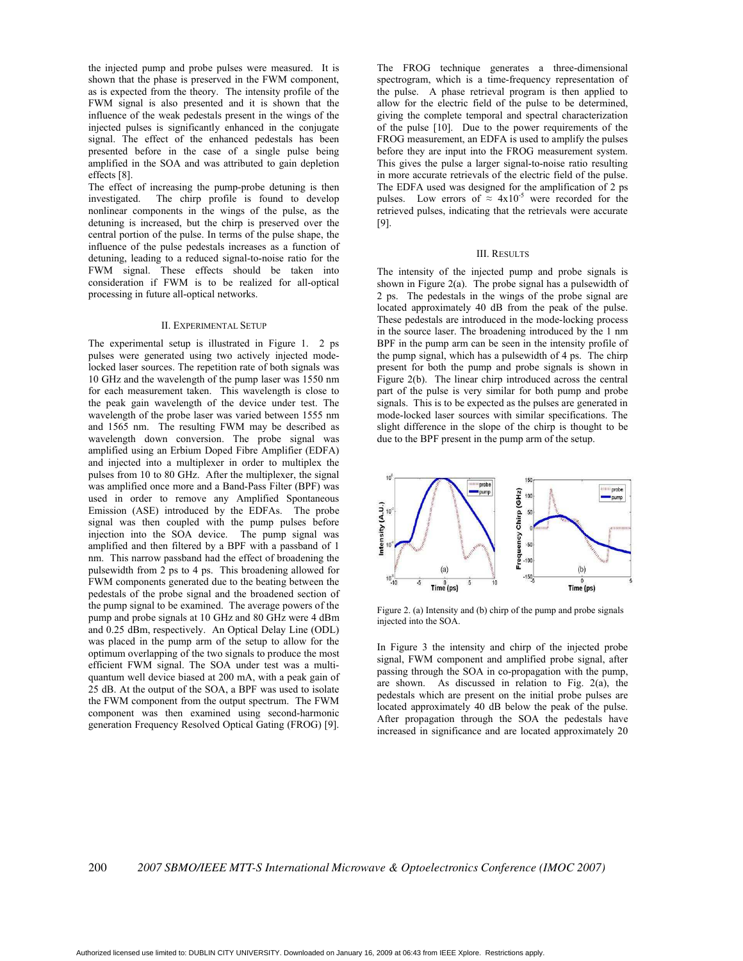the injected pump and probe pulses were measured. It is shown that the phase is preserved in the FWM component, as is expected from the theory. The intensity profile of the FWM signal is also presented and it is shown that the influence of the weak pedestals present in the wings of the injected pulses is significantly enhanced in the conjugate signal. The effect of the enhanced pedestals has been presented before in the case of a single pulse being amplified in the SOA and was attributed to gain depletion effects  $[8]$ .

The effect of increasing the pump-probe detuning is then The chirp profile is found to develop investigated. nonlinear components in the wings of the pulse, as the detuning is increased, but the chirp is preserved over the central portion of the pulse. In terms of the pulse shape, the influence of the pulse pedestals increases as a function of detuning, leading to a reduced signal-to-noise ratio for the FWM signal. These effects should be taken into consideration if FWM is to be realized for all-optical processing in future all-optical networks.

#### **II. EXPERIMENTAL SETUP**

The experimental setup is illustrated in Figure 1. 2 ps pulses were generated using two actively injected modelocked laser sources. The repetition rate of both signals was 10 GHz and the wavelength of the pump laser was 1550 nm for each measurement taken. This wavelength is close to the peak gain wavelength of the device under test. The wavelength of the probe laser was varied between 1555 nm and 1565 nm. The resulting FWM may be described as wavelength down conversion. The probe signal was amplified using an Erbium Doped Fibre Amplifier (EDFA) and injected into a multiplexer in order to multiplex the pulses from 10 to 80 GHz. After the multiplexer, the signal was amplified once more and a Band-Pass Filter (BPF) was used in order to remove any Amplified Spontaneous Emission (ASE) introduced by the EDFAs. The probe signal was then coupled with the pump pulses before injection into the SOA device. The pump signal was amplified and then filtered by a BPF with a passband of 1 nm. This narrow passband had the effect of broadening the pulsewidth from 2 ps to 4 ps. This broadening allowed for FWM components generated due to the beating between the pedestals of the probe signal and the broadened section of the pump signal to be examined. The average powers of the pump and probe signals at 10 GHz and 80 GHz were 4 dBm and 0.25 dBm, respectively. An Optical Delay Line (ODL) was placed in the pump arm of the setup to allow for the optimum overlapping of the two signals to produce the most efficient FWM signal. The SOA under test was a multiquantum well device biased at 200 mA, with a peak gain of 25 dB. At the output of the SOA, a BPF was used to isolate the FWM component from the output spectrum. The FWM component was then examined using second-harmonic generation Frequency Resolved Optical Gating (FROG) [9].

The FROG technique generates a three-dimensional spectrogram, which is a time-frequency representation of the pulse. A phase retrieval program is then applied to allow for the electric field of the pulse to be determined, giving the complete temporal and spectral characterization of the pulse [10]. Due to the power requirements of the FROG measurement, an EDFA is used to amplify the pulses before they are input into the FROG measurement system. This gives the pulse a larger signal-to-noise ratio resulting in more accurate retrievals of the electric field of the pulse. The EDFA used was designed for the amplification of 2 ps pulses. Low errors of  $\approx 4x10^{-5}$  were recorded for the retrieved pulses, indicating that the retrievals were accurate  $[9]$ .

### **III. RESULTS**

The intensity of the injected pump and probe signals is shown in Figure  $2(a)$ . The probe signal has a pulsewidth of 2 ps. The pedestals in the wings of the probe signal are located approximately 40 dB from the peak of the pulse. These pedestals are introduced in the mode-locking process in the source laser. The broadening introduced by the 1 nm BPF in the pump arm can be seen in the intensity profile of the pump signal, which has a pulsewidth of 4 ps. The chirp present for both the pump and probe signals is shown in Figure 2(b). The linear chirp introduced across the central part of the pulse is very similar for both pump and probe signals. This is to be expected as the pulses are generated in mode-locked laser sources with similar specifications. The slight difference in the slope of the chirp is thought to be due to the BPF present in the pump arm of the setup.



Figure 2. (a) Intensity and (b) chirp of the pump and probe signals injected into the SOA.

In Figure 3 the intensity and chirp of the injected probe signal, FWM component and amplified probe signal, after passing through the SOA in co-propagation with the pump, are shown. As discussed in relation to Fig.  $2(a)$ , the pedestals which are present on the initial probe pulses are located approximately 40 dB below the peak of the pulse. After propagation through the SOA the pedestals have increased in significance and are located approximately 20

#### 200 2007 SBMO/IEEE MTT-S International Microwave & Optoelectronics Conference (IMOC 2007)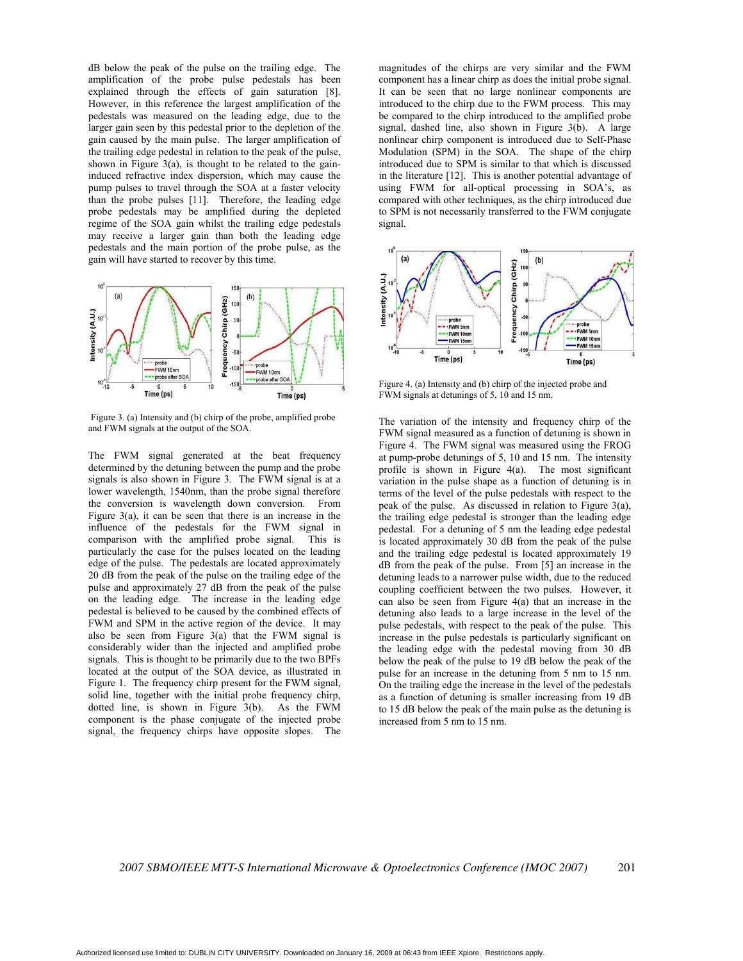dB below the peak of the pulse on the trailing edge. The amplification of the probe pulse pedestals has been explained through the effects of gain saturation [8]. However, in this reference the largest amplification of the pedestals was measured on the leading edge, due to the larger gain seen by this pedestal prior to the depletion of the gain caused by the main pulse. The larger amplification of the trailing edge pedestal in relation to the peak of the pulse, shown in Figure  $3(a)$ , is thought to be related to the gaininduced refractive index dispersion, which may cause the pump pulses to travel through the SOA at a faster velocity than the probe pulses [11]. Therefore, the leading edge probe pedestals may be amplified during the depleted regime of the SOA gain whilst the trailing edge pedestals may receive a larger gain than both the leading edge pedestals and the main portion of the probe pulse, as the gain will have started to recover by this time.



Figure 3. (a) Intensity and (b) chirp of the probe, amplified probe and FWM signals at the output of the SOA.

The FWM signal generated at the beat frequency determined by the detuning between the pump and the probe signals is also shown in Figure 3. The FWM signal is at a lower wavelength, 1540nm, than the probe signal therefore the conversion is wavelength down conversion. From Figure  $3(a)$ , it can be seen that there is an increase in the influence of the pedestals for the FWM signal in comparison with the amplified probe signal. This is particularly the case for the pulses located on the leading edge of the pulse. The pedestals are located approximately 20 dB from the peak of the pulse on the trailing edge of the pulse and approximately 27 dB from the peak of the pulse on the leading edge. The increase in the leading edge pedestal is believed to be caused by the combined effects of FWM and SPM in the active region of the device. It may also be seen from Figure  $3(a)$  that the FWM signal is considerably wider than the injected and amplified probe signals. This is thought to be primarily due to the two BPFs located at the output of the SOA device, as illustrated in Figure 1. The frequency chirp present for the FWM signal, solid line, together with the initial probe frequency chirp, dotted line, is shown in Figure 3(b). As the FWM component is the phase conjugate of the injected probe signal, the frequency chirps have opposite slopes. The

magnitudes of the chirps are very similar and the FWM component has a linear chirp as does the initial probe signal. It can be seen that no large nonlinear components are introduced to the chirp due to the FWM process. This may be compared to the chirp introduced to the amplified probe signal, dashed line, also shown in Figure 3(b). A large nonlinear chirp component is introduced due to Self-Phase Modulation (SPM) in the SOA. The shape of the chirp introduced due to SPM is similar to that which is discussed in the literature [12]. This is another potential advantage of using FWM for all-optical processing in SOA's, as compared with other techniques, as the chirp introduced due to SPM is not necessarily transferred to the FWM conjugate signal.



Figure 4. (a) Intensity and (b) chirp of the injected probe and FWM signals at detunings of 5, 10 and 15 nm.

The variation of the intensity and frequency chirp of the FWM signal measured as a function of detuning is shown in Figure 4. The FWM signal was measured using the FROG at pump-probe detunings of 5, 10 and 15 nm. The intensity profile is shown in Figure 4(a). The most significant variation in the pulse shape as a function of detuning is in terms of the level of the pulse pedestals with respect to the peak of the pulse. As discussed in relation to Figure  $3(a)$ , the trailing edge pedestal is stronger than the leading edge pedestal. For a detuning of 5 nm the leading edge pedestal is located approximately 30 dB from the peak of the pulse and the trailing edge pedestal is located approximately 19 dB from the peak of the pulse. From [5] an increase in the detuning leads to a narrower pulse width, due to the reduced coupling coefficient between the two pulses. However, it can also be seen from Figure  $4(a)$  that an increase in the detuning also leads to a large increase in the level of the pulse pedestals, with respect to the peak of the pulse. This increase in the pulse pedestals is particularly significant on the leading edge with the pedestal moving from 30 dB below the peak of the pulse to 19 dB below the peak of the pulse for an increase in the detuning from 5 nm to 15 nm. On the trailing edge the increase in the level of the pedestals as a function of detuning is smaller increasing from 19 dB to 15 dB below the peak of the main pulse as the detuning is increased from 5 nm to 15 nm.